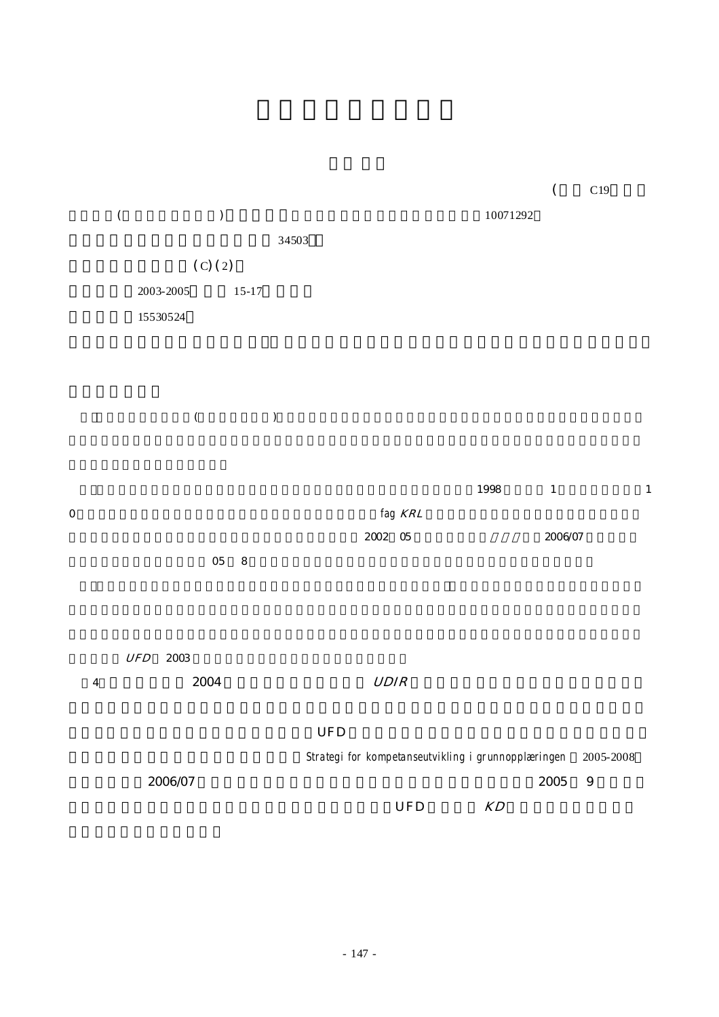

|   | <b>UFD</b><br>2003 |                                                     |           |
|---|--------------------|-----------------------------------------------------|-----------|
| 4 | 2004               | <b>UDIR</b>                                         |           |
|   |                    |                                                     |           |
|   |                    | <b>UFD</b>                                          |           |
|   |                    | Strategi for kompetanseutvikling i grunnopplæringen | 2005-2008 |
|   | 2006/07            | 2005                                                | -9        |
|   |                    | UFD<br>KD                                           |           |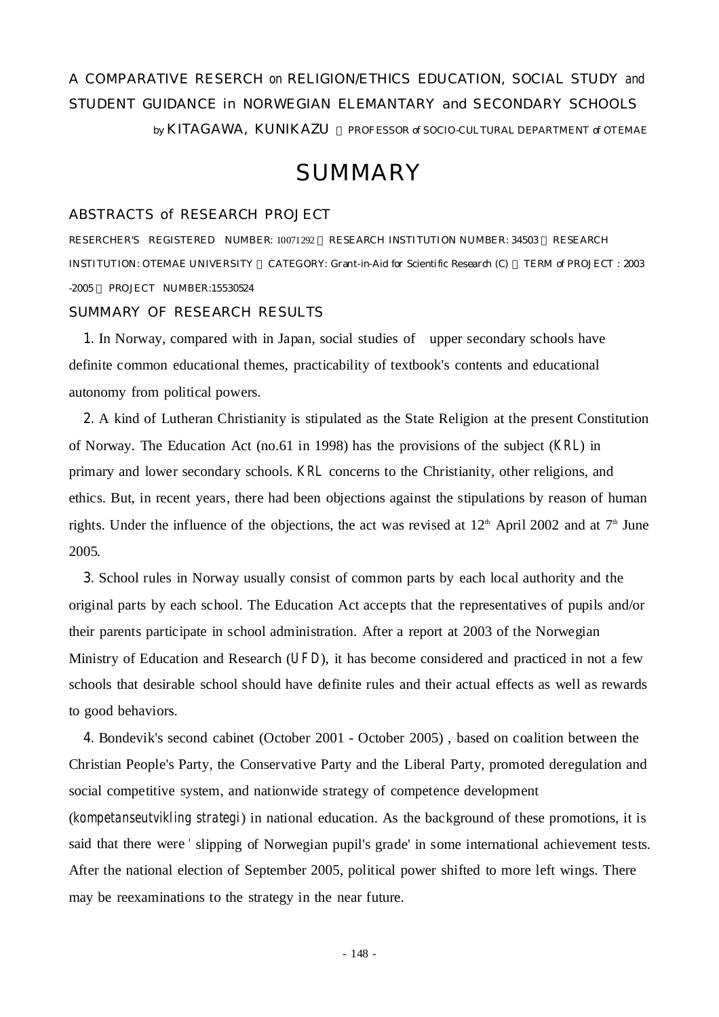# A COMPARATIVE RESERCH on RELIGION ETHICS EDUCATION, SOCIAL STUDY and STUDENT GUIDANCE in NORWEGIAN ELEMANTARY and SECONDARY SCHOOLS

by KITAGAWA, KUNIKAZU PROFESSOR of SOCIO-CULTURAL DEPARTMENT of OTEMAE

## **SUMMARY**

#### ABSTRACTS of RESEARCH PROJECT

RESERCHER'S REGISTERED NUMBER: 10071292 RESEARCH INSTITUTION NUMBER: 34503 RESEARCH INSTITUTION: OTEMAE UNIVERSITY CATEGORY: Grant-in-Aid for Scientific Research (C) TERM of PROJECT : 2003 -2005 PROJECT NUMBER:15530524

#### SUMMARY OF RESEARCH RESULTS

**1.** In Norway, compared with in Japan, social studies of upper secondary schools have definite common educational themes, practicability of textbook's contents and educational autonomy from political powers.

**2.** A kind of Lutheran Christianity is stipulated as the State Religion at the present Constitution of Norway. The Education Act (no.61 in 1998) has the provisions of the subject (*KRL*) in primary and lower secondary schools. *KRL* concerns to the Christianity, other religions, and ethics. But, in recent years, there had been objections against the stipulations by reason of human rights. Under the influence of the objections, the act was revised at  $12<sup>th</sup>$  April 2002 and at  $7<sup>th</sup>$  June 2005.

**3.** School rules in Norway usually consist of common parts by each local authority and the original parts by each school. The Education Act accepts that the representatives of pupils and/or their parents participate in school administration. After a report at 2003 of the Norwegian Ministry of Education and Research (*UFD*), it has become considered and practiced in not a few schools that desirable school should have definite rules and their actual effects as well as rewards to good behaviors.

**4.** Bondevik's second cabinet (October 2001 - October 2005) , based on coalition between the Christian People's Party, the Conservative Party and the Liberal Party, promoted deregulation and social competitive system, and nationwide strategy of competence development

(*kompetanseutvikling strategi*) in national education. As the background of these promotions, it is said that there were 'slipping of Norwegian pupil's grade' in some international achievement tests. After the national election of September 2005, political power shifted to more left wings. There may be reexaminations to the strategy in the near future.